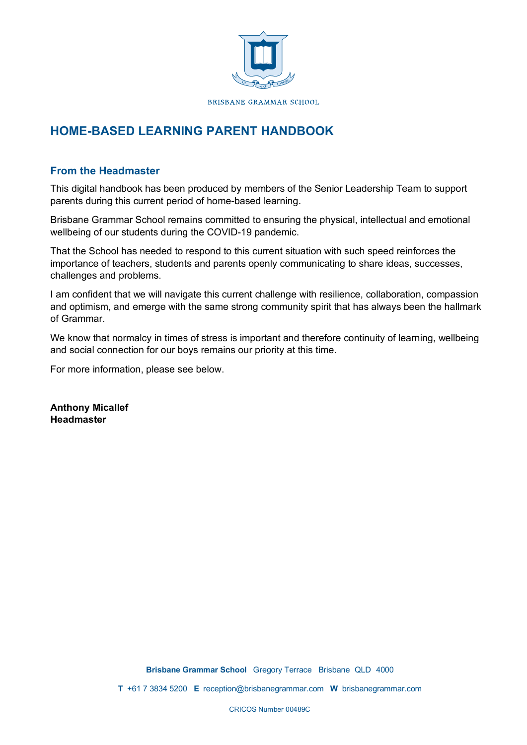

# **HOME-BASED LEARNING PARENT HANDBOOK**

#### **From the Headmaster**

This digital handbook has been produced by members of the Senior Leadership Team to support parents during this current period of home-based learning.

Brisbane Grammar School remains committed to ensuring the physical, intellectual and emotional wellbeing of our students during the COVID-19 pandemic.

That the School has needed to respond to this current situation with such speed reinforces the importance of teachers, students and parents openly communicating to share ideas, successes, challenges and problems.

I am confident that we will navigate this current challenge with resilience, collaboration, compassion and optimism, and emerge with the same strong community spirit that has always been the hallmark of Grammar.

We know that normalcy in times of stress is important and therefore continuity of learning, wellbeing and social connection for our boys remains our priority at this time.

For more information, please see below.

**Anthony Micallef Headmaster**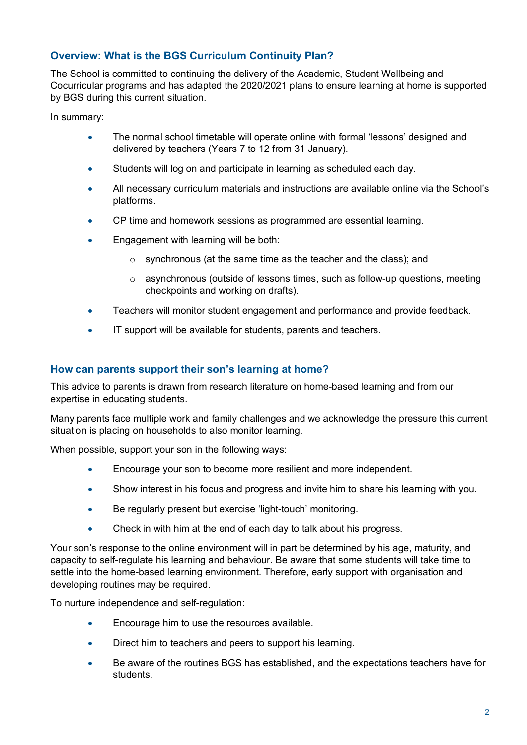# **Overview: What is the BGS Curriculum Continuity Plan?**

The School is committed to continuing the delivery of the Academic, Student Wellbeing and Cocurricular programs and has adapted the 2020/2021 plans to ensure learning at home is supported by BGS during this current situation.

In summary:

- The normal school timetable will operate online with formal 'lessons' designed and delivered by teachers (Years 7 to 12 from 31 January).
- Students will log on and participate in learning as scheduled each day.
- All necessary curriculum materials and instructions are available online via the School's platforms.
- CP time and homework sessions as programmed are essential learning.
- Engagement with learning will be both:
	- o synchronous (at the same time as the teacher and the class); and
	- $\circ$  asynchronous (outside of lessons times, such as follow-up questions, meeting checkpoints and working on drafts).
- Teachers will monitor student engagement and performance and provide feedback.
- IT support will be available for students, parents and teachers.

#### **How can parents support their son's learning at home?**

This advice to parents is drawn from research literature on home-based learning and from our expertise in educating students.

Many parents face multiple work and family challenges and we acknowledge the pressure this current situation is placing on households to also monitor learning.

When possible, support your son in the following ways:

- Encourage your son to become more resilient and more independent.
- Show interest in his focus and progress and invite him to share his learning with you.
- Be regularly present but exercise 'light-touch' monitoring.
- Check in with him at the end of each day to talk about his progress.

Your son's response to the online environment will in part be determined by his age, maturity, and capacity to self-regulate his learning and behaviour. Be aware that some students will take time to settle into the home-based learning environment. Therefore, early support with organisation and developing routines may be required.

To nurture independence and self-regulation:

- Encourage him to use the resources available.
- Direct him to teachers and peers to support his learning.
- Be aware of the routines BGS has established, and the expectations teachers have for students.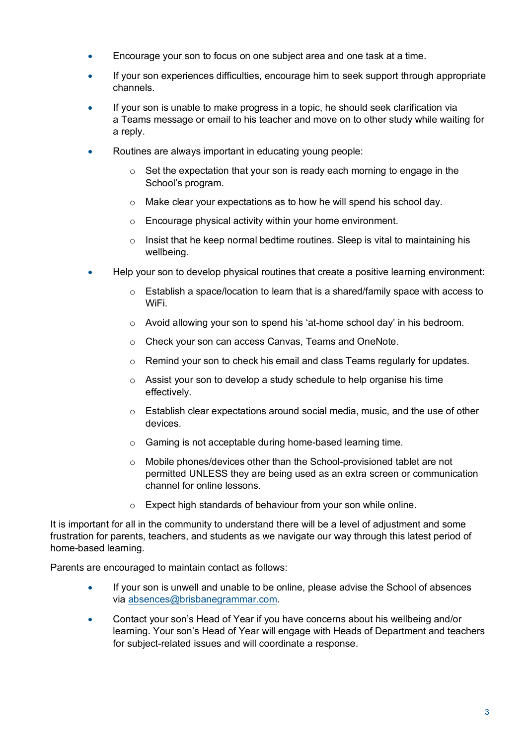- Encourage your son to focus on one subject area and one task at a time.
- If your son experiences difficulties, encourage him to seek support through appropriate channels.
- If your son is unable to make progress in a topic, he should seek clarification via a Teams message or email to his teacher and move on to other study while waiting for a reply.
- Routines are always important in educating young people:
	- o Set the expectation that your son is ready each morning to engage in the School's program.
	- o Make clear your expectations as to how he will spend his school day.
	- o Encourage physical activity within your home environment.
	- $\circ$  Insist that he keep normal bedtime routines. Sleep is vital to maintaining his wellbeing.
- Help your son to develop physical routines that create a positive learning environment:
	- $\circ$  Establish a space/location to learn that is a shared/family space with access to WiFi.
	- $\circ$  Avoid allowing your son to spend his 'at-home school day' in his bedroom.
	- o Check your son can access Canvas, Teams and OneNote.
	- o Remind your son to check his email and class Teams regularly for updates.
	- o Assist your son to develop a study schedule to help organise his time effectively.
	- o Establish clear expectations around social media, music, and the use of other devices.
	- o Gaming is not acceptable during home-based learning time.
	- $\circ$  Mobile phones/devices other than the School-provisioned tablet are not permitted UNLESS they are being used as an extra screen or communication channel for online lessons.
	- o Expect high standards of behaviour from your son while online.

It is important for all in the community to understand there will be a level of adjustment and some frustration for parents, teachers, and students as we navigate our way through this latest period of home-based learning.

Parents are encouraged to maintain contact as follows:

- If your son is unwell and unable to be online, please advise the School of absences via absences@brisbanegrammar.com.
- Contact your son's Head of Year if you have concerns about his wellbeing and/or learning. Your son's Head of Year will engage with Heads of Department and teachers for subject-related issues and will coordinate a response.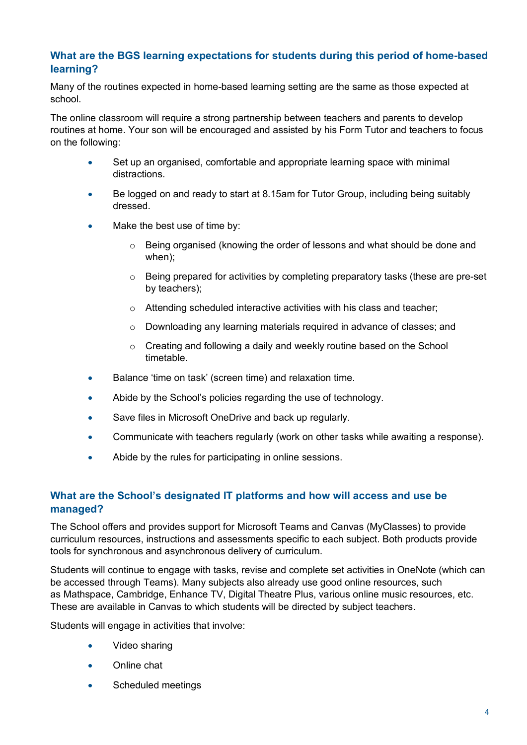### **What are the BGS learning expectations for students during this period of home-based learning?**

Many of the routines expected in home-based learning setting are the same as those expected at school.

The online classroom will require a strong partnership between teachers and parents to develop routines at home. Your son will be encouraged and assisted by his Form Tutor and teachers to focus on the following:

- Set up an organised, comfortable and appropriate learning space with minimal distractions.
- Be logged on and ready to start at 8.15am for Tutor Group, including being suitably dressed.
- Make the best use of time by:
	- $\circ$  Being organised (knowing the order of lessons and what should be done and when);
	- o Being prepared for activities by completing preparatory tasks (these are pre-set by teachers);
	- $\circ$  Attending scheduled interactive activities with his class and teacher;
	- o Downloading any learning materials required in advance of classes; and
	- o Creating and following a daily and weekly routine based on the School timetable.
- Balance 'time on task' (screen time) and relaxation time.
- Abide by the School's policies regarding the use of technology.
- Save files in Microsoft OneDrive and back up regularly.
- Communicate with teachers regularly (work on other tasks while awaiting a response).
- Abide by the rules for participating in online sessions.

# **What are the School's designated IT platforms and how will access and use be managed?**

The School offers and provides support for Microsoft Teams and Canvas (MyClasses) to provide curriculum resources, instructions and assessments specific to each subject. Both products provide tools for synchronous and asynchronous delivery of curriculum.

Students will continue to engage with tasks, revise and complete set activities in OneNote (which can be accessed through Teams). Many subjects also already use good online resources, such as Mathspace, Cambridge, Enhance TV, Digital Theatre Plus, various online music resources, etc. These are available in Canvas to which students will be directed by subject teachers.

Students will engage in activities that involve:

- Video sharing
- Online chat
- Scheduled meetings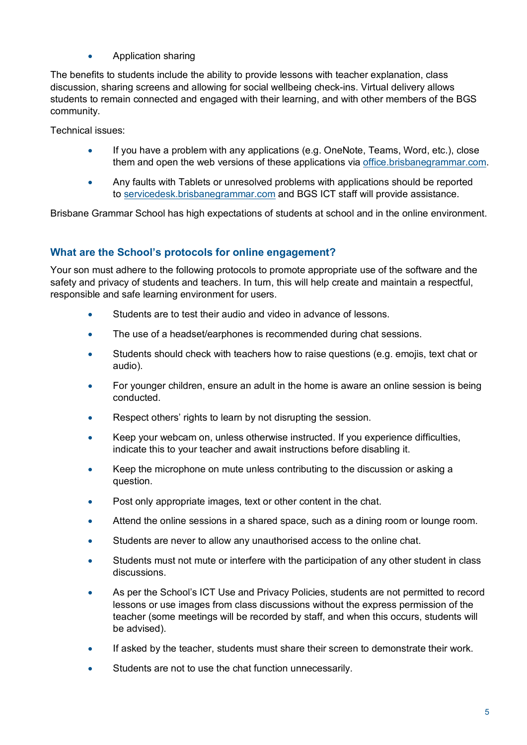• Application sharing

The benefits to students include the ability to provide lessons with teacher explanation, class discussion, sharing screens and allowing for social wellbeing check-ins. Virtual delivery allows students to remain connected and engaged with their learning, and with other members of the BGS community.

Technical issues:

- If you have a problem with any applications (e.g. OneNote, Teams, Word, etc.), close them and open the web versions of these applications via office.brisbanegrammar.com.
- Any faults with Tablets or unresolved problems with applications should be reported to servicedesk.brisbanegrammar.com and BGS ICT staff will provide assistance.

Brisbane Grammar School has high expectations of students at school and in the online environment.

# **What are the School's protocols for online engagement?**

Your son must adhere to the following protocols to promote appropriate use of the software and the safety and privacy of students and teachers. In turn, this will help create and maintain a respectful, responsible and safe learning environment for users.

- Students are to test their audio and video in advance of lessons.
- The use of a headset/earphones is recommended during chat sessions.
- Students should check with teachers how to raise questions (e.g. emojis, text chat or audio).
- For younger children, ensure an adult in the home is aware an online session is being conducted.
- Respect others' rights to learn by not disrupting the session.
- Keep your webcam on, unless otherwise instructed. If you experience difficulties, indicate this to your teacher and await instructions before disabling it.
- Keep the microphone on mute unless contributing to the discussion or asking a question.
- Post only appropriate images, text or other content in the chat.
- Attend the online sessions in a shared space, such as a dining room or lounge room.
- Students are never to allow any unauthorised access to the online chat.
- Students must not mute or interfere with the participation of any other student in class discussions.
- As per the School's ICT Use and Privacy Policies, students are not permitted to record lessons or use images from class discussions without the express permission of the teacher (some meetings will be recorded by staff, and when this occurs, students will be advised).
- If asked by the teacher, students must share their screen to demonstrate their work.
- Students are not to use the chat function unnecessarily.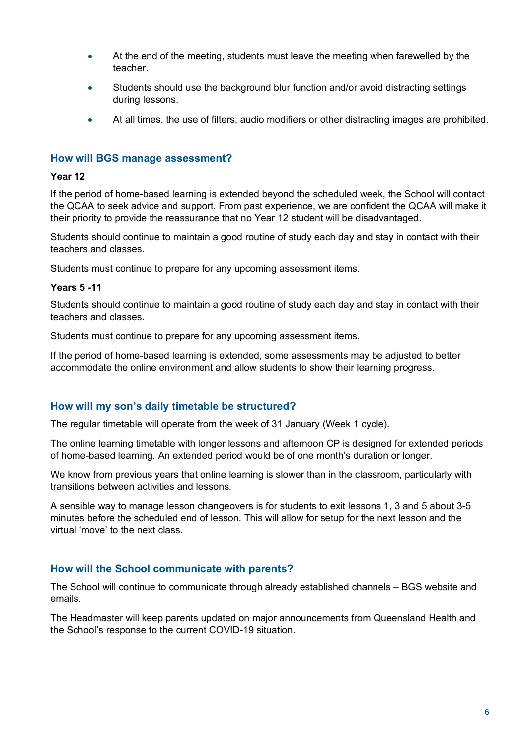- At the end of the meeting, students must leave the meeting when farewelled by the teacher.
- Students should use the background blur function and/or avoid distracting settings during lessons.
- At all times, the use of filters, audio modifiers or other distracting images are prohibited.

### **How will BGS manage assessment?**

#### **Year 12**

If the period of home-based learning is extended beyond the scheduled week, the School will contact the QCAA to seek advice and support. From past experience, we are confident the QCAA will make it their priority to provide the reassurance that no Year 12 student will be disadvantaged.

Students should continue to maintain a good routine of study each day and stay in contact with their teachers and classes.

Students must continue to prepare for any upcoming assessment items.

#### **Years 5 -11**

Students should continue to maintain a good routine of study each day and stay in contact with their teachers and classes.

Students must continue to prepare for any upcoming assessment items.

If the period of home-based learning is extended, some assessments may be adjusted to better accommodate the online environment and allow students to show their learning progress.

#### **How will my son's daily timetable be structured?**

The regular timetable will operate from the week of 31 January (Week 1 cycle).

The online learning timetable with longer lessons and afternoon CP is designed for extended periods of home-based learning. An extended period would be of one month's duration or longer.

We know from previous years that online learning is slower than in the classroom, particularly with transitions between activities and lessons.

A sensible way to manage lesson changeovers is for students to exit lessons 1, 3 and 5 about 3-5 minutes before the scheduled end of lesson. This will allow for setup for the next lesson and the virtual 'move' to the next class.

#### **How will the School communicate with parents?**

The School will continue to communicate through already established channels – BGS website and emails.

The Headmaster will keep parents updated on major announcements from Queensland Health and the School's response to the current COVID-19 situation.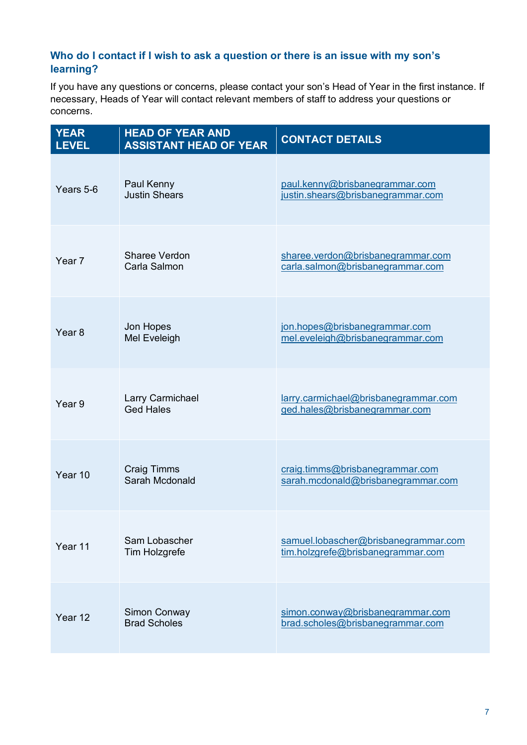# **Who do I contact if I wish to ask a question or there is an issue with my son's learning?**

If you have any questions or concerns, please contact your son's Head of Year in the first instance. If necessary, Heads of Year will contact relevant members of staff to address your questions or concerns.

| <b>YEAR</b><br><b>LEVEL</b> | <b>HEAD OF YEAR AND</b><br><b>ASSISTANT HEAD OF YEAR</b> | <b>CONTACT DETAILS</b>                                                    |
|-----------------------------|----------------------------------------------------------|---------------------------------------------------------------------------|
| Years 5-6                   | Paul Kenny<br><b>Justin Shears</b>                       | paul.kenny@brisbanegrammar.com<br>justin.shears@brisbanegrammar.com       |
| Year 7                      | <b>Sharee Verdon</b><br>Carla Salmon                     | sharee.verdon@brisbanegrammar.com<br>carla.salmon@brisbanegrammar.com     |
| Year <sub>8</sub>           | Jon Hopes<br>Mel Eveleigh                                | jon.hopes@brisbanegrammar.com<br>mel.eveleigh@brisbanegrammar.com         |
| Year <sub>9</sub>           | Larry Carmichael<br><b>Ged Hales</b>                     | larry.carmichael@brisbanegrammar.com<br>ged.hales@brisbanegrammar.com     |
| Year 10                     | Craig Timms<br>Sarah Mcdonald                            | craig.timms@brisbanegrammar.com<br>sarah.mcdonald@brisbanegrammar.com     |
| Year 11                     | Sam Lobascher<br>Tim Holzgrefe                           | samuel.lobascher@brisbanegrammar.com<br>tim.holzgrefe@brisbanegrammar.com |
| Year 12                     | Simon Conway<br><b>Brad Scholes</b>                      | simon.conway@brisbanegrammar.com<br>brad.scholes@brisbanegrammar.com      |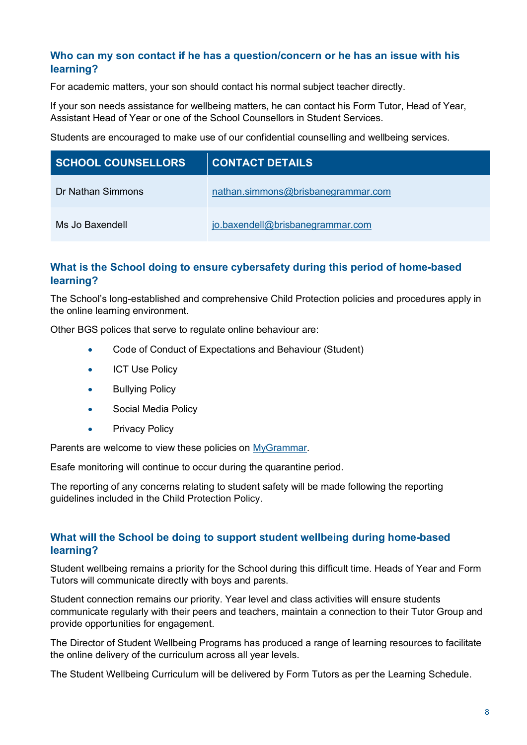### **Who can my son contact if he has a question/concern or he has an issue with his learning?**

For academic matters, your son should contact his normal subject teacher directly.

If your son needs assistance for wellbeing matters, he can contact his Form Tutor, Head of Year, Assistant Head of Year or one of the School Counsellors in Student Services.

Students are encouraged to make use of our confidential counselling and wellbeing services.

| <b>SCHOOL COUNSELLORS</b> | <b>CONTACT DETAILS</b>             |
|---------------------------|------------------------------------|
| Dr Nathan Simmons         | nathan.simmons@brisbanegrammar.com |
| Ms Jo Baxendell           | jo.baxendell@brisbanegrammar.com   |

# **What is the School doing to ensure cybersafety during this period of home-based learning?**

The School's long-established and comprehensive Child Protection policies and procedures apply in the online learning environment.

Other BGS polices that serve to regulate online behaviour are:

- Code of Conduct of Expectations and Behaviour (Student)
- **ICT Use Policy**
- **Bullying Policy**
- Social Media Policy
- Privacy Policy

Parents are welcome to view these policies on MyGrammar.

Esafe monitoring will continue to occur during the quarantine period.

The reporting of any concerns relating to student safety will be made following the reporting guidelines included in the Child Protection Policy.

### **What will the School be doing to support student wellbeing during home-based learning?**

Student wellbeing remains a priority for the School during this difficult time. Heads of Year and Form Tutors will communicate directly with boys and parents.

Student connection remains our priority. Year level and class activities will ensure students communicate regularly with their peers and teachers, maintain a connection to their Tutor Group and provide opportunities for engagement.

The Director of Student Wellbeing Programs has produced a range of learning resources to facilitate the online delivery of the curriculum across all year levels.

The Student Wellbeing Curriculum will be delivered by Form Tutors as per the Learning Schedule.